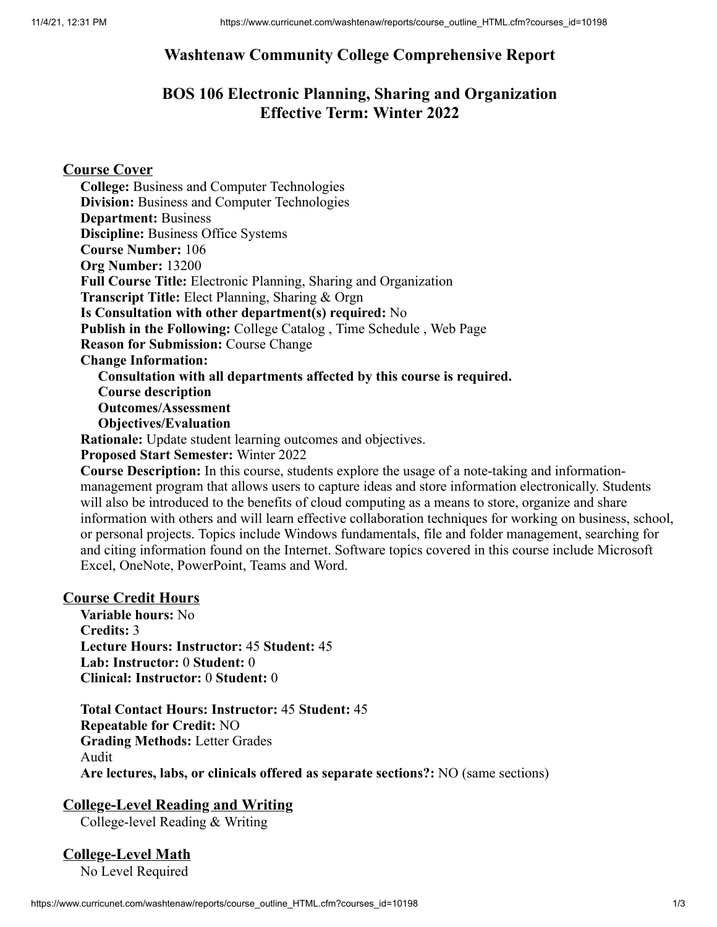## **Washtenaw Community College Comprehensive Report**

## **BOS 106 Electronic Planning, Sharing and Organization Effective Term: Winter 2022**

### **Course Cover**

**College:** Business and Computer Technologies **Division:** Business and Computer Technologies **Department:** Business **Discipline:** Business Office Systems **Course Number:** 106 **Org Number:** 13200 **Full Course Title:** Electronic Planning, Sharing and Organization **Transcript Title:** Elect Planning, Sharing & Orgn **Is Consultation with other department(s) required:** No **Publish in the Following:** College Catalog , Time Schedule , Web Page **Reason for Submission:** Course Change **Change Information: Consultation with all departments affected by this course is required. Course description Outcomes/Assessment Objectives/Evaluation Rationale:** Update student learning outcomes and objectives.

**Proposed Start Semester:** Winter 2022

**Course Description:** In this course, students explore the usage of a note-taking and informationmanagement program that allows users to capture ideas and store information electronically. Students will also be introduced to the benefits of cloud computing as a means to store, organize and share information with others and will learn effective collaboration techniques for working on business, school, or personal projects. Topics include Windows fundamentals, file and folder management, searching for and citing information found on the Internet. Software topics covered in this course include Microsoft Excel, OneNote, PowerPoint, Teams and Word.

#### **Course Credit Hours**

**Variable hours:** No **Credits:** 3 **Lecture Hours: Instructor:** 45 **Student:** 45 **Lab: Instructor:** 0 **Student:** 0 **Clinical: Instructor:** 0 **Student:** 0

**Total Contact Hours: Instructor:** 45 **Student:** 45 **Repeatable for Credit:** NO **Grading Methods:** Letter Grades Audit **Are lectures, labs, or clinicals offered as separate sections?:** NO (same sections)

### **College-Level Reading and Writing**

College-level Reading & Writing

## **College-Level Math**

No Level Required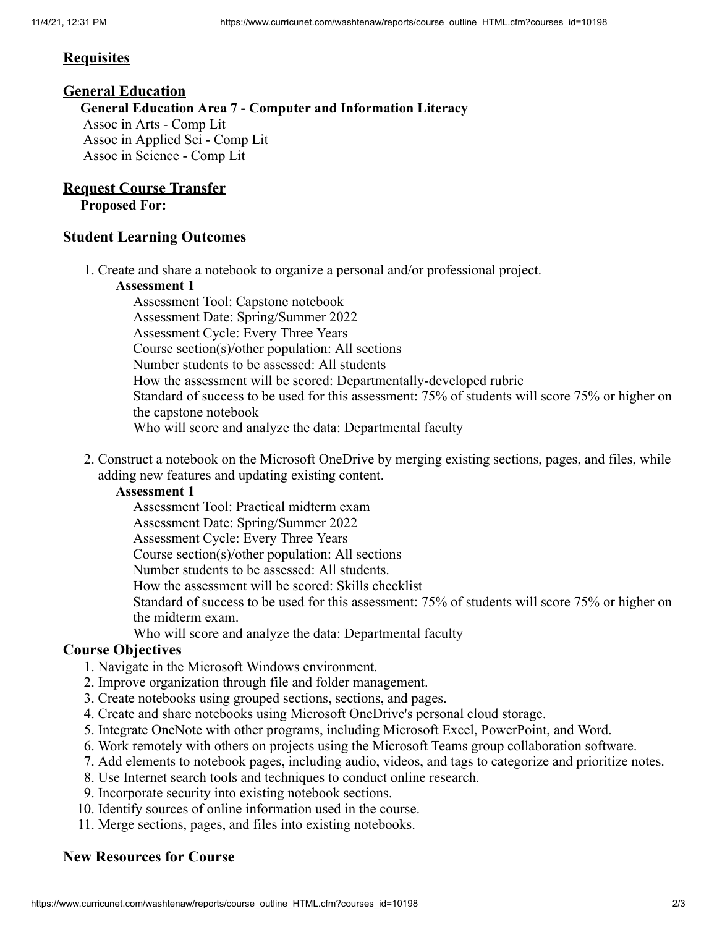#### **Requisites**

#### **General Education**

**General Education Area 7 - Computer and Information Literacy** Assoc in Arts - Comp Lit Assoc in Applied Sci - Comp Lit Assoc in Science - Comp Lit

### **Request Course Transfer**

**Proposed For:**

### **Student Learning Outcomes**

1. Create and share a notebook to organize a personal and/or professional project.

#### **Assessment 1**

Assessment Tool: Capstone notebook Assessment Date: Spring/Summer 2022 Assessment Cycle: Every Three Years Course section(s)/other population: All sections Number students to be assessed: All students How the assessment will be scored: Departmentally-developed rubric Standard of success to be used for this assessment: 75% of students will score 75% or higher on the capstone notebook Who will score and analyze the data: Departmental faculty

2. Construct a notebook on the Microsoft OneDrive by merging existing sections, pages, and files, while adding new features and updating existing content.

#### **Assessment 1**

Assessment Tool: Practical midterm exam

Assessment Date: Spring/Summer 2022

Assessment Cycle: Every Three Years

Course section(s)/other population: All sections

Number students to be assessed: All students.

How the assessment will be scored: Skills checklist

Standard of success to be used for this assessment: 75% of students will score 75% or higher on the midterm exam.

Who will score and analyze the data: Departmental faculty

### **Course Objectives**

- 1. Navigate in the Microsoft Windows environment.
- 2. Improve organization through file and folder management.
- 3. Create notebooks using grouped sections, sections, and pages.
- 4. Create and share notebooks using Microsoft OneDrive's personal cloud storage.
- 5. Integrate OneNote with other programs, including Microsoft Excel, PowerPoint, and Word.
- 6. Work remotely with others on projects using the Microsoft Teams group collaboration software.
- 7. Add elements to notebook pages, including audio, videos, and tags to categorize and prioritize notes.
- 8. Use Internet search tools and techniques to conduct online research.
- 9. Incorporate security into existing notebook sections.
- 10. Identify sources of online information used in the course.
- 11. Merge sections, pages, and files into existing notebooks.

### **New Resources for Course**